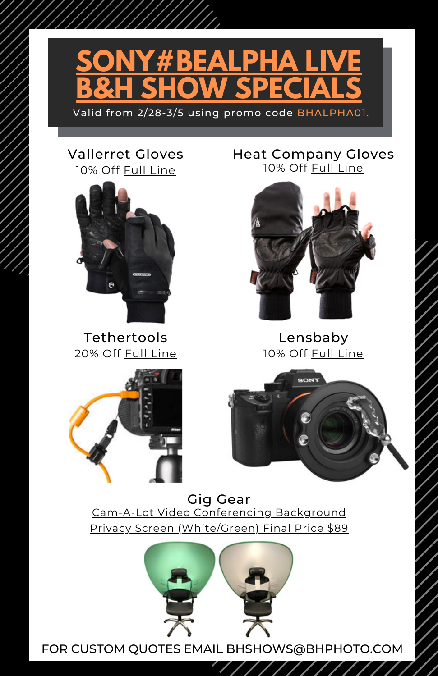

#### 10% Off Full [Line](https://www.bhphotovideo.com/c/search?Ntt=vallerret%20gloves&N=0&InitialSearch=yes&sts=ma) Vallerret Gloves



20% Off Full [Line](https://www.bhphotovideo.com/c/browse/tether-tools/ci/40614?origSearch=tether%20tools) Tethertools

10% Off Full [Line](https://www.bhphotovideo.com/c/search?q=heat%20company%20gloves&filters=fct_category:photo_gloves_26450) Heat Company Gloves



10% Off Full [Line](https://www.bhphotovideo.com/c/browse/lensbaby/ci/20756/N/4051271336?origSearch=lensbaby) Lensbaby



**SONY** 

Cam-A-Lot Video Conferencing Background Privacy Screen [\(White/Green\)](https://www.bhphotovideo.com/c/product/1581589-REG/cam_a_lot_ggcal15712_phone_conference_backdrop.html) Final Price \$89 Gig Gear

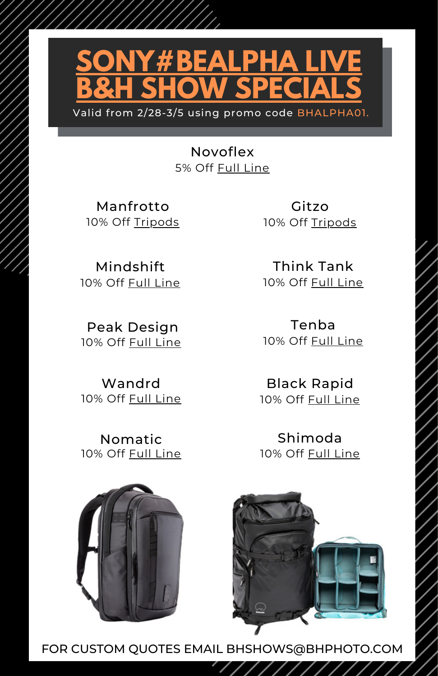

5% Off Full [Line](https://www.bhphotovideo.com/c/search?q=novoflex&filters=fct_brand_name:novoflex,fct_category:lens_adapters_3420%7Cother_macro_accessories_3067%7Ctripod_legs_2636) Novoflex

10% Off [Tripods](https://www.bhphotovideo.com/c/buy/Tripod-Systems/ci/15919/N/4232861050) Manfrotto

10% Off Full [Line](https://www.bhphotovideo.com/c/search?Ntt=mindshift&N=0&InitialSearch=yes&sts=ma) Mindshift

10% Off Full [Line](https://www.bhphotovideo.com/c/search?Ntt=peak%20design&N=0&InitialSearch=yes&sts=ma) Peak Design

10% Off Full [Line](https://www.bhphotovideo.com/c/search?Ntt=wandrd&N=0&InitialSearch=yes&sts=ma) Wandrd

10% Off Full [Line](https://www.bhphotovideo.com/c/search?Ntt=nomatic&N=0&InitialSearch=yes&sts=ma) Nomatic

10% Off [Tripods](https://www.bhphotovideo.com/c/products/Tripods-Support/ci/8159/N/4294543169?filters=fct_brand_name%3Agitzo) Gitzo

> 10% Off Full [Line](https://www.bhphotovideo.com/c/buy/Shop-by-Brand-Think-Tank-Photo/ci/4/phd/4082057080/N/4294255798?origSearch=think%20tank%20photo) Think Tank

10% Off Full [Line](https://www.bhphotovideo.com/c/browse/Tenba/ci/4272/N/4232861019?origSearch=tenba) Tenba

10% Off Full [Line](https://www.bhphotovideo.com/c/search?q=black%20rapid&filters=fct_brand_name:blackrapid,fct_category:camera_straps_283) Black Rapid

10% Off Full [Line](https://www.bhphotovideo.com/c/search?Ntt=Shimoda&N=0&InitialSearch=yes&sts=ma) Shimoda



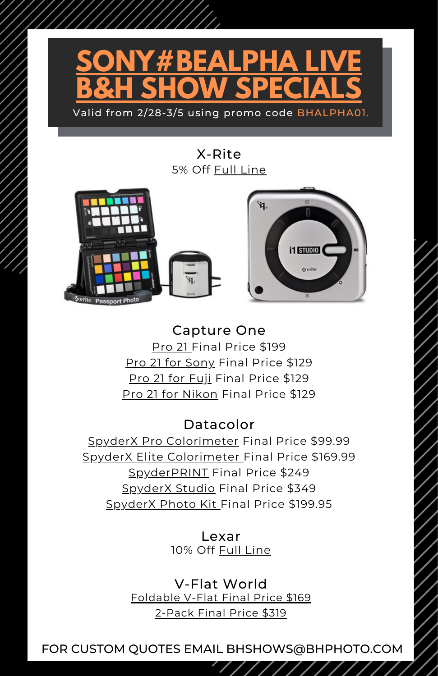

## 5% Off Full [Line](https://www.bhphotovideo.com/c/buy/Shop-by-Brand-X-Rite/ci/4/phd/4291109525/N/4294255798&sts=br) X-Rite



[Pro](https://www.bhphotovideo.com/c/product/1611906-REG/capture_one_88200202_pro_21_download.html) 21 Final [Price](https://www.bhphotovideo.com/c/product/1536186-REG/phase_one_88200033_capture_one_pro_download.html) \$199 Pro 21 for [Sony](https://www.bhphotovideo.com/c/product/1611908-REG/capture_one_88200204_pro_21_for_sony.html) Final [Price](https://www.bhphotovideo.com/c/product/1536186-REG/phase_one_88200033_capture_one_pro_download.html) \$129 Pro 21 for [Fuji](https://www.bhphotovideo.com/c/product/1611907-REG/capture_one_88200203_pro_21_for_fujifilm.html) Final [Price](https://www.bhphotovideo.com/c/product/1536186-REG/phase_one_88200033_capture_one_pro_download.html) \$129 Pro 21 for [Nikon](https://www.bhphotovideo.com/c/product/1611909-REG/capture_one_88200205_pro_21_for_nikon.html) Final [Price](https://www.bhphotovideo.com/c/product/1536186-REG/phase_one_88200033_capture_one_pro_download.html) \$129 Capture One

## Datacolor

SpyderX Pro [Colorimeter](https://www.bhphotovideo.com/c/product/1456247-REG/datacolor_sxp100_spyder_x_pro_colorimeter.html) Final Price [\\$99.99](https://www.bhphotovideo.com/c/product/1536186-REG/phase_one_88200033_capture_one_pro_download.html) SpyderX Elite [Colorimeter](https://www.bhphotovideo.com/c/product/1456249-REG/datacolor_sxe100_spyder_x_elite_colorimeter.html) Final Price [\\$169.99](https://www.bhphotovideo.com/c/product/1536186-REG/phase_one_88200033_capture_one_pro_download.html) [SpyderPRINT](https://www.bhphotovideo.com/c/product/838847-REG/Datacolor_S4SR100_Spyder4_Print_SR.html) Final [Price](https://www.bhphotovideo.com/c/product/1536186-REG/phase_one_88200033_capture_one_pro_download.html) \$249 [SpyderX](https://www.bhphotovideo.com/c/product/1483484-REG/datacolor_sxssr100_spyderx_studio.html) Studio Final [Price](https://www.bhphotovideo.com/c/product/1536186-REG/phase_one_88200033_capture_one_pro_download.html) \$349 [SpyderX](https://www.bhphotovideo.com/c/product/1561085-REG/datacolor_sxpk050_spyderx_photo_kit.html) Photo Kit Final Price [\\$199.95](https://www.bhphotovideo.com/c/product/1536186-REG/phase_one_88200033_capture_one_pro_download.html)

> 10% Off Full [Line](https://www.bhphotovideo.com/c/browse/Lexar/ci/5572/N/4232860377?origSearch=lexar) Lexar

[Foldable](https://www.bhphotovideo.com/c/product/1428271-REG/v_flat_world_001_foldable_v_flat_black_white.html) V-Flat Final Price \$169 [2-Pack](https://www.bhphotovideo.com/c/product/1440126-REG/v_flat_world_foldable_v_flat_kit_black_white.html) Final Price \$319 V-Flat World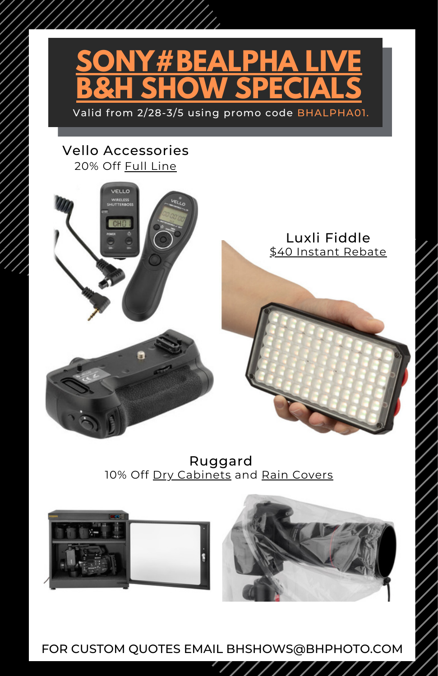

#### 20% Off Full [Line](https://www.bhphotovideo.com/c/browse/Vello/ci/17767/N/4205057820?origSearch=vello%20) Vello Accessories





10% Off Dry [Cabinets](https://www.bhphotovideo.com/c/search?Ntt=ruggard+dry+cabinets&N=0&InitialSearch=yes&sts=ma) and Rain [Covers](https://www.bhphotovideo.com/c/search?Ntt=ruggard+rain+covers&N=0&InitialSearch=yes&sts=ma) Ruggard



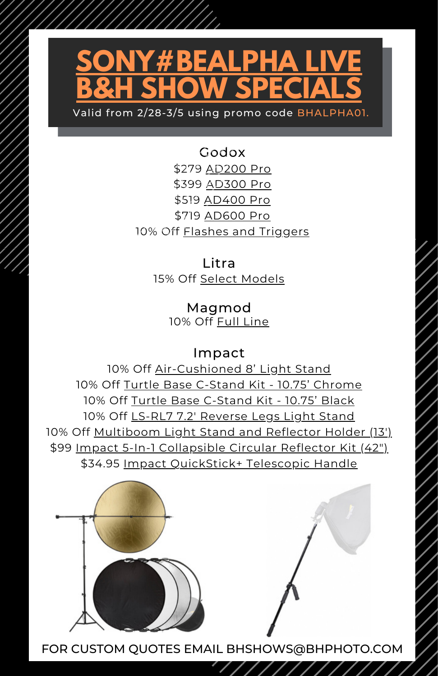# **SONY#BEALPHA LIVE B&H SHOW SPECIALS**

Valid from 2/28-3/5 using promo code BHALPHA01.

\$279 [AD200](https://www.bhphotovideo.com/c/product/1465859-REG/godox_ad200pro_ttl_pocket_flash.html) Pro \$399 [AD300](https://www.bhphotovideo.com/c/product/1578646-REG/godox_ad300pro_ad300_pro_outdoor_flash.html) Pro \$519 [AD400](https://www.bhphotovideo.com/c/product/1422940-REG/godox_ad400pro_wistro_all_in_1_outdoor.html) Pro \$719 [AD600](https://www.bhphotovideo.com/c/product/1422940-REG/godox_ad400pro_wistro_all_in_1_outdoor.html) Pro 10% Off Flashes and [Triggers](https://www.bhphotovideo.com/c/search?Ntt=godox+flashes&N=0&InitialSearch=yes&sts=ma) Godox

> 15% Off Select [Models](https://www.bhphotovideo.com/c/search?q=litra) Litra

> > 10% Off Full [Line](https://www.bhphotovideo.com/c/search?Ntt=magmod&N=0&InitialSearch=yes&sts=ma) Magmod

> > > Impact

10% Off [Air-Cushioned](https://www.bhphotovideo.com/c/product/1258466-REG/impact_ls_8ai_air_cushioned_light_stand_black.html) 8' Light Stand 10% Off Turtle Base [C-Stand](https://www.bhphotovideo.com/c/product/372016-REG/Impact_CT40MKIT_Master_Century_C_Stand.html) Kit - 10.75' Chrome 10% Off Turtle Base [C-Stand](https://www.bhphotovideo.com/c/product/850444-REG/Impact_ls_ct40mbk_Turtle_Base_C_Stand_Kit.html) Kit - 10.75' Black 10% Off LS-RL7 7.2' [Reverse](https://www.bhphotovideo.com/c/product/900768-REG/impact_ls_rl7_6_2_reverse_legs.html) Legs Light Stand 10% Off [Multiboom](https://www.bhphotovideo.com/c/product/272945-REG/Impact_3218_Multiboom_Light_Stand_Reflector_Holder.html) Light Stand and Reflector Holder (13') \$99 Impact 5-In-1 [Collapsible](https://www.bhphotovideo.com/c/product/1378889-REG/impact_5_in_1_collapsible_circular_reflector.html) Circular Reflector Kit (42") \$34.95 Impact [QuickStick+](https://www.bhphotovideo.com/c/product/888976-REG/impact_qb_qsp_quickstik_plus_telescopic_handle.html) Telescopic Handle